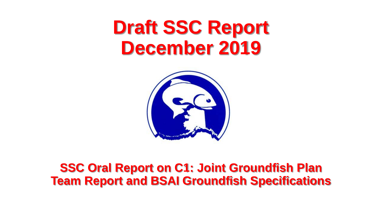# **Draft SSC Report December 2019**



#### **SSC Oral Report on C1: Joint Groundfish Plan Team Report and BSAI Groundfish Specifications**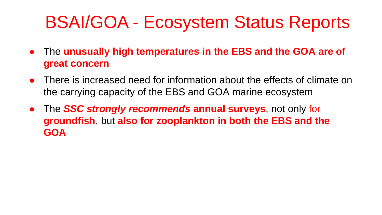# BSAI/GOA - Ecosystem Status Reports

- The **unusually high temperatures in the EBS and the GOA are of great concern**
- There is increased need for information about the effects of climate on the carrying capacity of the EBS and GOA marine ecosystem
- The *SSC strongly recommends* **annual surveys**, not only for **groundfish**, but **also for zooplankton in both the EBS and the GOA**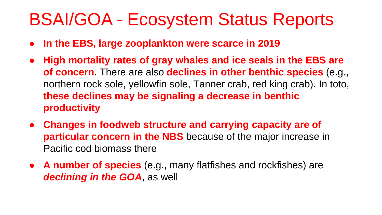# BSAI/GOA - Ecosystem Status Reports

- **In the EBS, large zooplankton were scarce in 2019**
- **High mortality rates of gray whales and ice seals in the EBS are of concern**. There are also **declines in other benthic species** (e.g., northern rock sole, yellowfin sole, Tanner crab, red king crab). In toto, **these declines may be signaling a decrease in benthic productivity**
- **Changes in foodweb structure and carrying capacity are of particular concern in the NBS** because of the major increase in Pacific cod biomass there
- **A number of species** (e.g., many flatfishes and rockfishes) are *declining in the GOA*, as well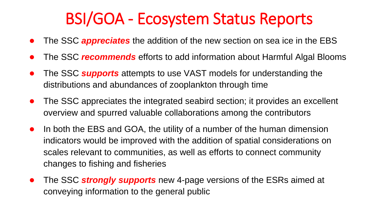### BSI/GOA - Ecosystem Status Reports

- The SSC *appreciates* the addition of the new section on sea ice in the EBS
- The SSC *recommends* efforts to add information about Harmful Algal Blooms
- The SSC **supports** attempts to use VAST models for understanding the distributions and abundances of zooplankton through time
- The SSC appreciates the integrated seabird section; it provides an excellent overview and spurred valuable collaborations among the contributors
- In both the EBS and GOA, the utility of a number of the human dimension indicators would be improved with the addition of spatial considerations on scales relevant to communities, as well as efforts to connect community changes to fishing and fisheries
- The SSC *strongly supports* new 4-page versions of the ESRs aimed at conveying information to the general public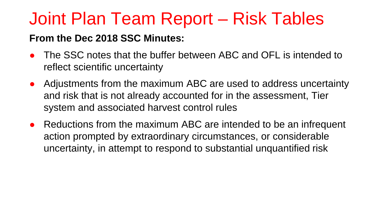#### **From the Dec 2018 SSC Minutes:**

- The SSC notes that the buffer between ABC and OFL is intended to reflect scientific uncertainty
- Adjustments from the maximum ABC are used to address uncertainty and risk that is not already accounted for in the assessment, Tier system and associated harvest control rules
- Reductions from the maximum ABC are intended to be an infrequent action prompted by extraordinary circumstances, or considerable uncertainty, in attempt to respond to substantial unquantified risk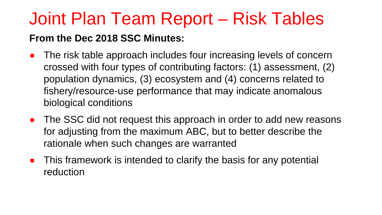#### **From the Dec 2018 SSC Minutes:**

- The risk table approach includes four increasing levels of concern crossed with four types of contributing factors: (1) assessment, (2) population dynamics, (3) ecosystem and (4) concerns related to fishery/resource-use performance that may indicate anomalous biological conditions
- The SSC did not request this approach in order to add new reasons for adjusting from the maximum ABC, but to better describe the rationale when such changes are warranted
- This framework is intended to clarify the basis for any potential reduction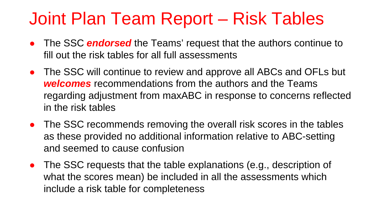- **•** The SSC **endorsed** the Teams' request that the authors continue to fill out the risk tables for all full assessments
- The SSC will continue to review and approve all ABCs and OFLs but *welcomes* recommendations from the authors and the Teams regarding adjustment from maxABC in response to concerns reflected in the risk tables
- The SSC recommends removing the overall risk scores in the tables as these provided no additional information relative to ABC-setting and seemed to cause confusion
- The SSC requests that the table explanations (e.g., description of what the scores mean) be included in all the assessments which include a risk table for completeness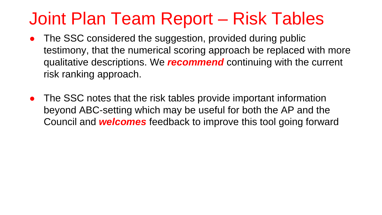- The SSC considered the suggestion, provided during public testimony, that the numerical scoring approach be replaced with more qualitative descriptions. We *recommend* continuing with the current risk ranking approach.
- The SSC notes that the risk tables provide important information beyond ABC-setting which may be useful for both the AP and the Council and *welcomes* feedback to improve this tool going forward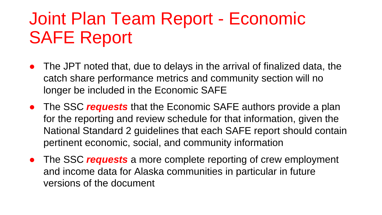# Joint Plan Team Report - Economic SAFE Report

- The JPT noted that, due to delays in the arrival of finalized data, the catch share performance metrics and community section will no longer be included in the Economic SAFE
- The SSC *requests* that the Economic SAFE authors provide a plan for the reporting and review schedule for that information, given the National Standard 2 guidelines that each SAFE report should contain pertinent economic, social, and community information
- The SSC *requests* a more complete reporting of crew employment and income data for Alaska communities in particular in future versions of the document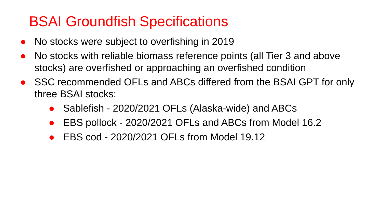### BSAI Groundfish Specifications

- No stocks were subject to overfishing in 2019
- No stocks with reliable biomass reference points (all Tier 3 and above stocks) are overfished or approaching an overfished condition
- SSC recommended OFLs and ABCs differed from the BSAI GPT for only three BSAI stocks:
	- Sablefish 2020/2021 OFLs (Alaska-wide) and ABCs
	- EBS pollock 2020/2021 OFLs and ABCs from Model 16.2
	- EBS cod 2020/2021 OFLs from Model 19.12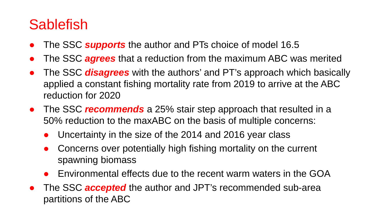### **Sablefish**

- The SSC *supports* the author and PTs choice of model 16.5
- The SSC **agrees** that a reduction from the maximum ABC was merited
- The SSC *disagrees* with the authors' and PT's approach which basically applied a constant fishing mortality rate from 2019 to arrive at the ABC reduction for 2020
- The SSC *recommends* a 25% stair step approach that resulted in a 50% reduction to the maxABC on the basis of multiple concerns:
	- Uncertainty in the size of the 2014 and 2016 year class
	- Concerns over potentially high fishing mortality on the current spawning biomass
	- Environmental effects due to the recent warm waters in the GOA
- The SSC *accepted* the author and JPT's recommended sub-area partitions of the ABC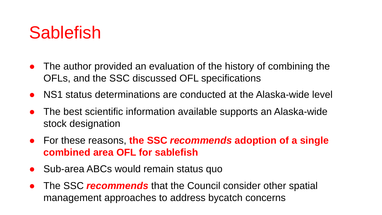## Sablefish

- The author provided an evaluation of the history of combining the OFLs, and the SSC discussed OFL specifications
- NS1 status determinations are conducted at the Alaska-wide level
- The best scientific information available supports an Alaska-wide stock designation
- For these reasons, **the SSC** *recommends* **adoption of a single combined area OFL for sablefish**
- Sub-area ABCs would remain status quo
- The SSC *recommends* that the Council consider other spatial management approaches to address bycatch concerns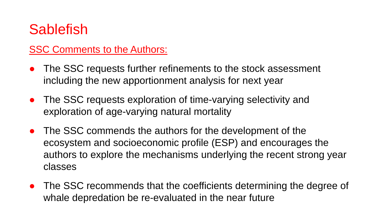### **Sablefish**

#### SSC Comments to the Authors:

- The SSC requests further refinements to the stock assessment including the new apportionment analysis for next year
- The SSC requests exploration of time-varying selectivity and exploration of age-varying natural mortality
- The SSC commends the authors for the development of the ecosystem and socioeconomic profile (ESP) and encourages the authors to explore the mechanisms underlying the recent strong year classes
- The SSC recommends that the coefficients determining the degree of whale depredation be re-evaluated in the near future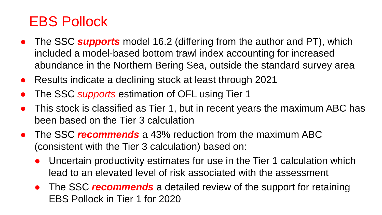### EBS Pollock

- The SSC *supports* model 16.2 (differing from the author and PT), which included a model-based bottom trawl index accounting for increased abundance in the Northern Bering Sea, outside the standard survey area
- Results indicate a declining stock at least through 2021
- The SSC *supports* estimation of OFL using Tier 1
- This stock is classified as Tier 1, but in recent years the maximum ABC has been based on the Tier 3 calculation
- The SSC *recommends* a 43% reduction from the maximum ABC (consistent with the Tier 3 calculation) based on:
	- Uncertain productivity estimates for use in the Tier 1 calculation which lead to an elevated level of risk associated with the assessment
	- **•** The SSC *recommends* a detailed review of the support for retaining EBS Pollock in Tier 1 for 2020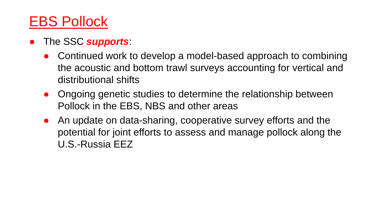#### EBS Pollock

- The SSC *supports*:
	- Continued work to develop a model-based approach to combining the acoustic and bottom trawl surveys accounting for vertical and distributional shifts
	- Ongoing genetic studies to determine the relationship between Pollock in the EBS, NBS and other areas
	- An update on data-sharing, cooperative survey efforts and the potential for joint efforts to assess and manage pollock along the U.S.-Russia EEZ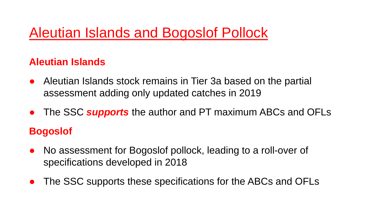### Aleutian Islands and Bogoslof Pollock

#### **Aleutian Islands**

- Aleutian Islands stock remains in Tier 3a based on the partial assessment adding only updated catches in 2019
- The SSC *supports* the author and PT maximum ABCs and OFLs **Bogoslof**
- No assessment for Bogoslof pollock, leading to a roll-over of specifications developed in 2018
- The SSC supports these specifications for the ABCs and OFLs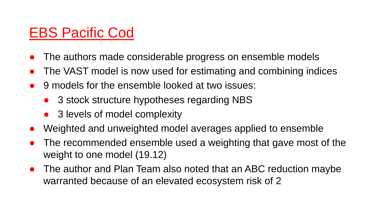### EBS Pacific Cod

- The authors made considerable progress on ensemble models
- The VAST model is now used for estimating and combining indices
- 9 models for the ensemble looked at two issues:
	- 3 stock structure hypotheses regarding NBS
	- 3 levels of model complexity
- Weighted and unweighted model averages applied to ensemble
- The recommended ensemble used a weighting that gave most of the weight to one model (19.12)
- The author and Plan Team also noted that an ABC reduction maybe warranted because of an elevated ecosystem risk of 2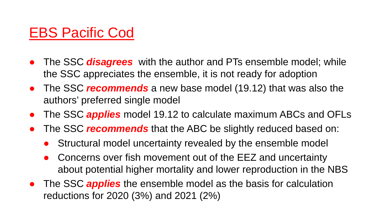#### EBS Pacific Cod

- The SSC **disagrees** with the author and PTs ensemble model; while the SSC appreciates the ensemble, it is not ready for adoption
- The SSC *recommends* a new base model (19.12) that was also the authors' preferred single model
- The SSC *applies* model 19.12 to calculate maximum ABCs and OFLs
- The SSC *recommends* that the ABC be slightly reduced based on:
	- Structural model uncertainty revealed by the ensemble model
	- Concerns over fish movement out of the EEZ and uncertainty about potential higher mortality and lower reproduction in the NBS
- The SSC *applies* the ensemble model as the basis for calculation reductions for 2020 (3%) and 2021 (2%)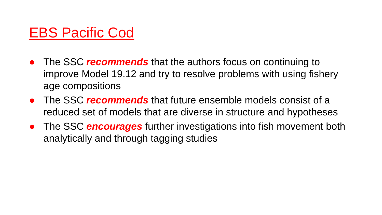#### EBS Pacific Cod

- The SSC *recommends* that the authors focus on continuing to improve Model 19.12 and try to resolve problems with using fishery age compositions
- The SSC *recommends* that future ensemble models consist of a reduced set of models that are diverse in structure and hypotheses
- **•** The SSC **encourages** further investigations into fish movement both analytically and through tagging studies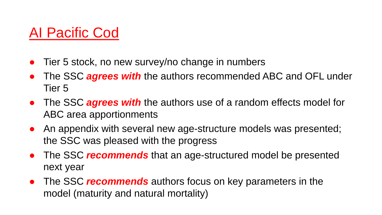#### AI Pacific Cod

- Tier 5 stock, no new survey/no change in numbers
- The SSC *agrees with* the authors recommended ABC and OFL under Tier 5
- The SSC **agrees with** the authors use of a random effects model for ABC area apportionments
- An appendix with several new age-structure models was presented; the SSC was pleased with the progress
- The SSC *recommends* that an age-structured model be presented next year
- The SSC *recommends* authors focus on key parameters in the model (maturity and natural mortality)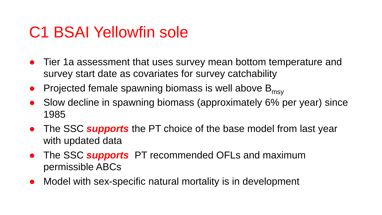### C1 BSAI Yellowfin sole

- Tier 1a assessment that uses survey mean bottom temperature and survey start date as covariates for survey catchability
- Projected female spawning biomass is well above  $B<sub>msv</sub>$
- Slow decline in spawning biomass (approximately 6% per year) since 1985
- The SSC **supports** the PT choice of the base model from last year with updated data
- The SSC *supports* PT recommended OFLs and maximum permissible ABCs
- Model with sex-specific natural mortality is in development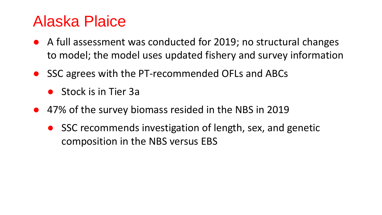### Alaska Plaice

- A full assessment was conducted for 2019; no structural changes to model; the model uses updated fishery and survey information
- SSC agrees with the PT-recommended OFLs and ABCs
	- Stock is in Tier 3a
- 47% of the survey biomass resided in the NBS in 2019
	- SSC recommends investigation of length, sex, and genetic composition in the NBS versus EBS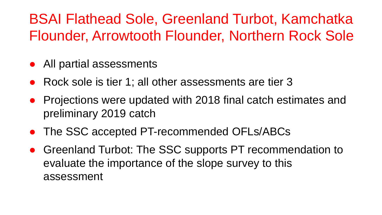### BSAI Flathead Sole, Greenland Turbot, Kamchatka Flounder, Arrowtooth Flounder, Northern Rock Sole

- All partial assessments
- Rock sole is tier 1; all other assessments are tier 3
- Projections were updated with 2018 final catch estimates and preliminary 2019 catch
- The SSC accepted PT-recommended OFLs/ABCs
- Greenland Turbot: The SSC supports PT recommendation to evaluate the importance of the slope survey to this assessment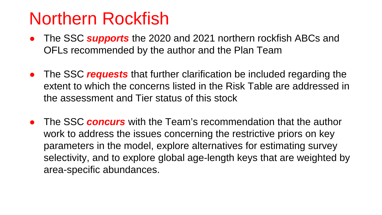## Northern Rockfish

- The SSC **supports** the 2020 and 2021 northern rockfish ABCs and OFLs recommended by the author and the Plan Team
- The SSC *requests* that further clarification be included regarding the extent to which the concerns listed in the Risk Table are addressed in the assessment and Tier status of this stock
- The SSC *concurs* with the Team's recommendation that the author work to address the issues concerning the restrictive priors on key parameters in the model, explore alternatives for estimating survey selectivity, and to explore global age-length keys that are weighted by area-specific abundances.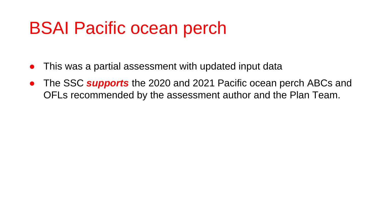# BSAI Pacific ocean perch

- This was a partial assessment with updated input data
- The SSC *supports* the 2020 and 2021 Pacific ocean perch ABCs and OFLs recommended by the assessment author and the Plan Team.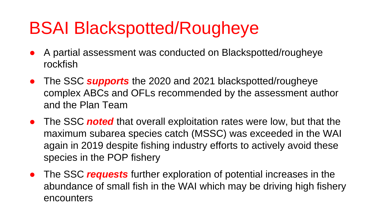# BSAI Blackspotted/Rougheye

- A partial assessment was conducted on Blackspotted/rougheye rockfish
- The SSC *supports* the 2020 and 2021 blackspotted/rougheye complex ABCs and OFLs recommended by the assessment author and the Plan Team
- The SSC *noted* that overall exploitation rates were low, but that the maximum subarea species catch (MSSC) was exceeded in the WAI again in 2019 despite fishing industry efforts to actively avoid these species in the POP fishery
- The SSC *requests* further exploration of potential increases in the abundance of small fish in the WAI which may be driving high fishery encounters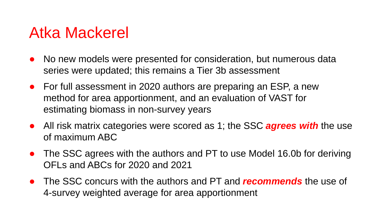### Atka Mackerel

- No new models were presented for consideration, but numerous data series were updated; this remains a Tier 3b assessment
- For full assessment in 2020 authors are preparing an ESP, a new method for area apportionment, and an evaluation of VAST for estimating biomass in non-survey years
- All risk matrix categories were scored as 1; the SSC *agrees with* the use of maximum ABC
- The SSC agrees with the authors and PT to use Model 16.0b for deriving OFLs and ABCs for 2020 and 2021
- The SSC concurs with the authors and PT and *recommends* the use of 4-survey weighted average for area apportionment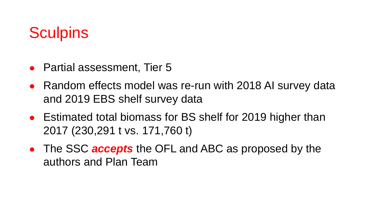### **Sculpins**

- Partial assessment, Tier 5
- Random effects model was re-run with 2018 AI survey data and 2019 EBS shelf survey data
- Estimated total biomass for BS shelf for 2019 higher than 2017 (230,291 t vs. 171,760 t)
- The SSC *accepts* the OFL and ABC as proposed by the authors and Plan Team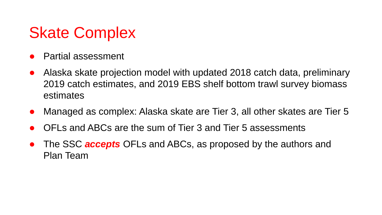### Skate Complex

- Partial assessment
- Alaska skate projection model with updated 2018 catch data, preliminary 2019 catch estimates, and 2019 EBS shelf bottom trawl survey biomass estimates
- Managed as complex: Alaska skate are Tier 3, all other skates are Tier 5
- OFLs and ABCs are the sum of Tier 3 and Tier 5 assessments
- The SSC **accepts** OFLs and ABCs, as proposed by the authors and Plan Team